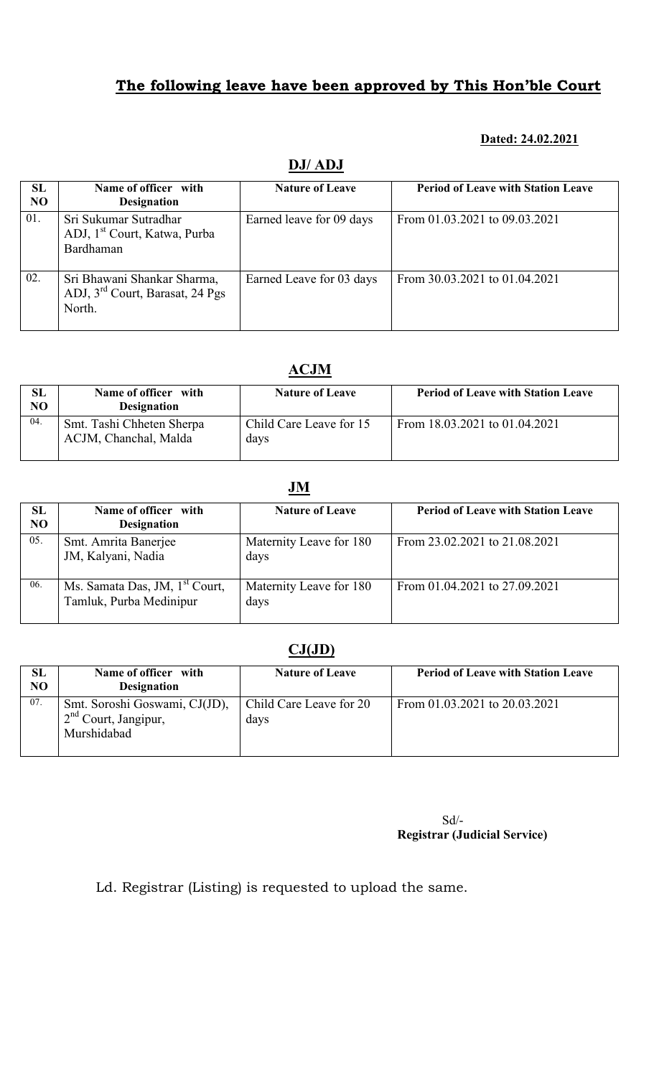#### Dated: 24.02.2021

### DJ/ ADJ

| SL<br>N <sub>O</sub> | Name of officer with<br><b>Designation</b>                                           | <b>Nature of Leave</b>   | <b>Period of Leave with Station Leave</b> |
|----------------------|--------------------------------------------------------------------------------------|--------------------------|-------------------------------------------|
| 01.                  | Sri Sukumar Sutradhar<br>ADJ, 1 <sup>st</sup> Court, Katwa, Purba<br>Bardhaman       | Earned leave for 09 days | From 01.03.2021 to 09.03.2021             |
| 02.                  | Sri Bhawani Shankar Sharma,<br>ADJ, 3 <sup>rd</sup> Court, Barasat, 24 Pgs<br>North. | Earned Leave for 03 days | From 30.03.2021 to 01.04.2021             |

### ACJM

| <b>SL</b><br>N <sub>O</sub> | Name of officer with<br><b>Designation</b>         | <b>Nature of Leave</b>          | <b>Period of Leave with Station Leave</b> |
|-----------------------------|----------------------------------------------------|---------------------------------|-------------------------------------------|
| 04.                         | Smt. Tashi Chheten Sherpa<br>ACJM, Chanchal, Malda | Child Care Leave for 15<br>days | From 18.03.2021 to 01.04.2021             |

### JM

| SL<br><b>NO</b> | Name of officer with<br><b>Designation</b>                            | <b>Nature of Leave</b>          | <b>Period of Leave with Station Leave</b> |
|-----------------|-----------------------------------------------------------------------|---------------------------------|-------------------------------------------|
| 05.             | Smt. Amrita Banerjee<br>JM, Kalyani, Nadia                            | Maternity Leave for 180<br>days | From 23.02.2021 to 21.08.2021             |
| 06.             | Ms. Samata Das, JM, 1 <sup>st</sup> Court,<br>Tamluk, Purba Medinipur | Maternity Leave for 180<br>days | From 01.04.2021 to 27.09.2021             |

# $CJ(JD)$

| SL<br>N <sub>O</sub> | Name of officer with<br><b>Designation</b>                             | <b>Nature of Leave</b>          | <b>Period of Leave with Station Leave</b> |
|----------------------|------------------------------------------------------------------------|---------------------------------|-------------------------------------------|
| 07.                  | Smt. Soroshi Goswami, CJ(JD),<br>$2nd$ Court, Jangipur,<br>Murshidabad | Child Care Leave for 20<br>days | From 01.03.2021 to 20.03.2021             |

Sd/- Registrar (Judicial Service)

Ld. Registrar (Listing) is requested to upload the same.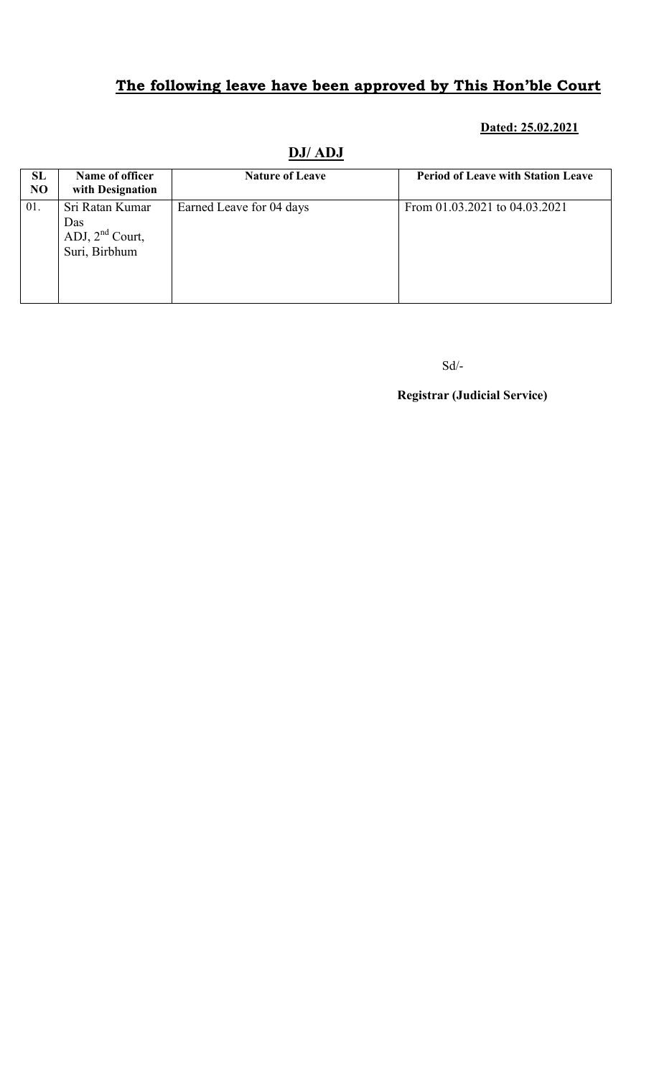### Dated: 25.02.2021

| SL<br>N <sub>O</sub> | Name of officer<br>with Designation                          | <b>Nature of Leave</b>   | <b>Period of Leave with Station Leave</b> |
|----------------------|--------------------------------------------------------------|--------------------------|-------------------------------------------|
| 01.                  | Sri Ratan Kumar<br>Das<br>ADJ, $2nd$ Court,<br>Suri, Birbhum | Earned Leave for 04 days | From 01.03.2021 to 04.03.2021             |

### DJ/ ADJ

Sd/-

Registrar (Judicial Service)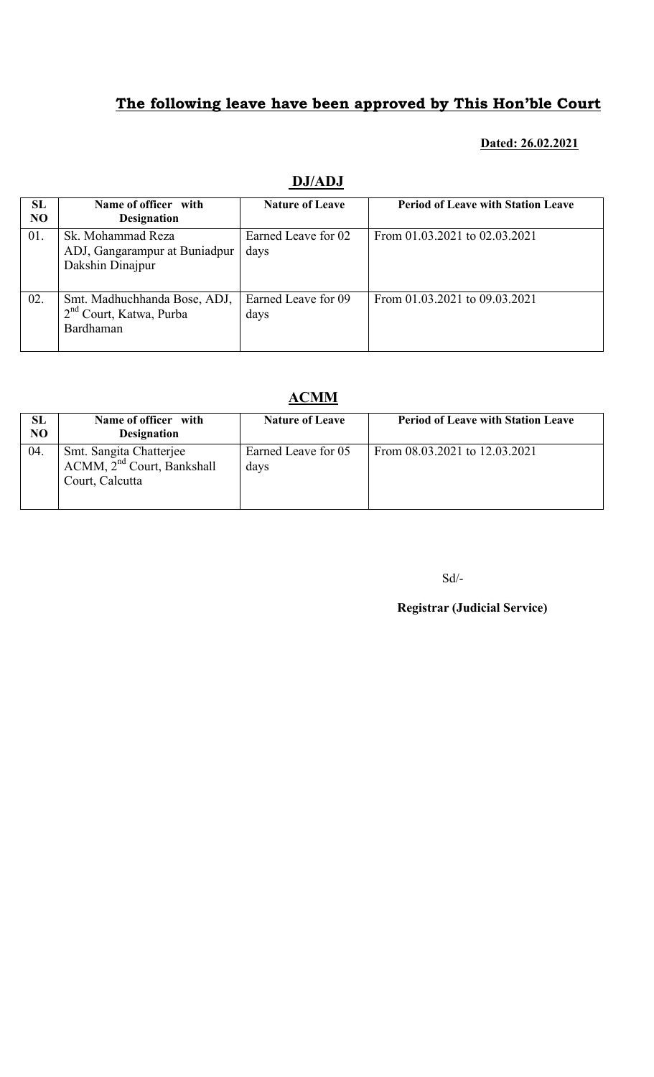#### Dated: 26.02.2021

| SL             | Name of officer with                | <b>Nature of Leave</b> | <b>Period of Leave with Station Leave</b> |
|----------------|-------------------------------------|------------------------|-------------------------------------------|
| N <sub>O</sub> | <b>Designation</b>                  |                        |                                           |
| 01.            | Sk. Mohammad Reza                   | Earned Leave for 02    | From 01.03.2021 to 02.03.2021             |
|                | ADJ, Gangarampur at Buniadpur       | days                   |                                           |
|                | Dakshin Dinajpur                    |                        |                                           |
|                |                                     |                        |                                           |
|                |                                     |                        |                                           |
| 02.            | Smt. Madhuchhanda Bose, ADJ,        | Earned Leave for 09    | From 01.03.2021 to 09.03.2021             |
|                | 2 <sup>nd</sup> Court, Katwa, Purba | days                   |                                           |
|                | Bardhaman                           |                        |                                           |
|                |                                     |                        |                                           |
|                |                                     |                        |                                           |

### DJ/ADJ

# ACMM

| SL<br>N <sub>O</sub> | Name of officer with<br><b>Designation</b>                                     | <b>Nature of Leave</b>      | <b>Period of Leave with Station Leave</b> |
|----------------------|--------------------------------------------------------------------------------|-----------------------------|-------------------------------------------|
| 04.                  | Smt. Sangita Chatterjee<br>$ACMM$ , $2nd Court$ , Bankshall<br>Court, Calcutta | Earned Leave for 05<br>days | From 08.03.2021 to 12.03.2021             |

Sd/-

Registrar (Judicial Service)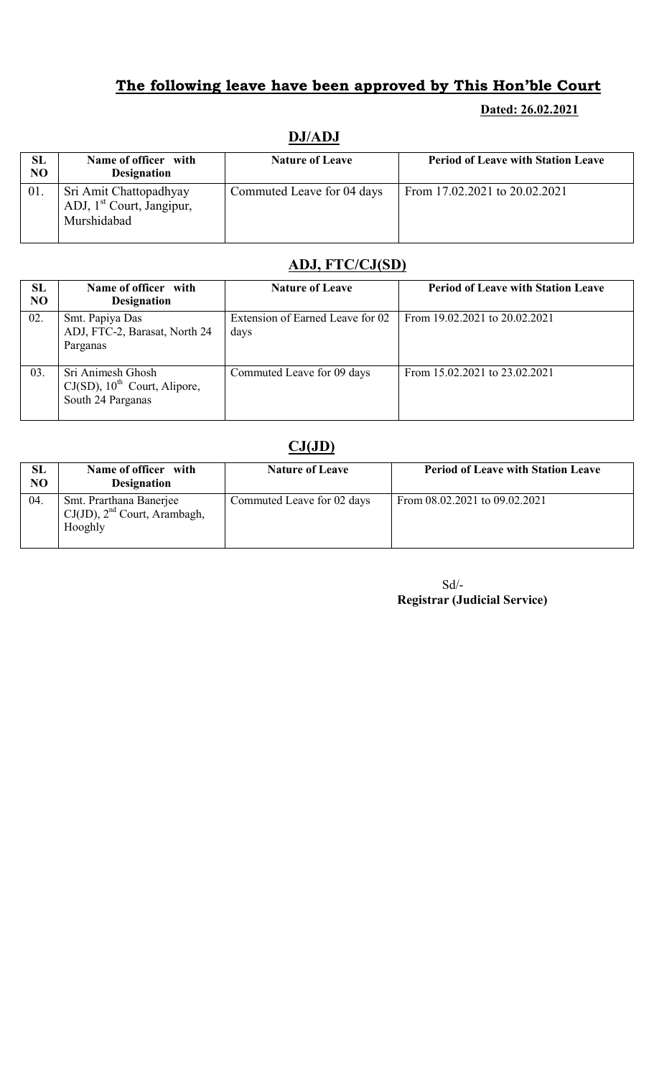#### Dated: 26.02.2021

| SL  | Name of officer with                                                           | <b>Nature of Leave</b>     | <b>Period of Leave with Station Leave</b> |
|-----|--------------------------------------------------------------------------------|----------------------------|-------------------------------------------|
| NO  | <b>Designation</b>                                                             |                            |                                           |
| 01. | Sri Amit Chattopadhyay<br>ADJ, 1 <sup>st</sup> Court, Jangipur,<br>Murshidabad | Commuted Leave for 04 days | From 17.02.2021 to 20.02.2021             |

# DJ/ADJ

## ADJ, FTC/CJ(SD)

| SL<br>N <sub>O</sub> | Name of officer with<br><b>Designation</b>                                            | <b>Nature of Leave</b>                   | <b>Period of Leave with Station Leave</b> |
|----------------------|---------------------------------------------------------------------------------------|------------------------------------------|-------------------------------------------|
| 02.                  | Smt. Papiya Das<br>ADJ, FTC-2, Barasat, North 24<br>Parganas                          | Extension of Earned Leave for 02<br>days | From 19.02.2021 to 20.02.2021             |
| 03.                  | Sri Animesh Ghosh<br>$CJ(SD)$ , 10 <sup>th</sup> Court, Alipore,<br>South 24 Parganas | Commuted Leave for 09 days               | From 15.02.2021 to 23.02.2021             |

### $CJ(JD)$

| SL<br>N <sub>O</sub> | Name of officer with<br><b>Designation</b>                              | <b>Nature of Leave</b>     | <b>Period of Leave with Station Leave</b> |
|----------------------|-------------------------------------------------------------------------|----------------------------|-------------------------------------------|
| 04.                  | Smt. Prarthana Banerjee<br>$CJ(JD)$ , $2nd$ Court, Arambagh,<br>Hooghly | Commuted Leave for 02 days | From 08.02.2021 to 09.02.2021             |

| $Sd/-$                              |  |
|-------------------------------------|--|
| <b>Registrar (Judicial Service)</b> |  |